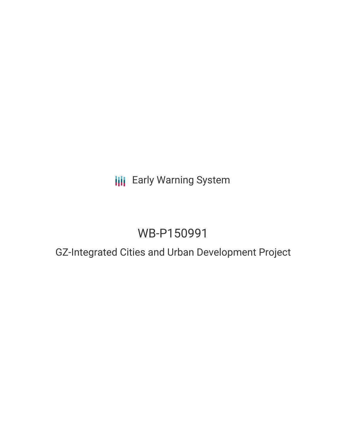**III** Early Warning System

# WB-P150991

## GZ-Integrated Cities and Urban Development Project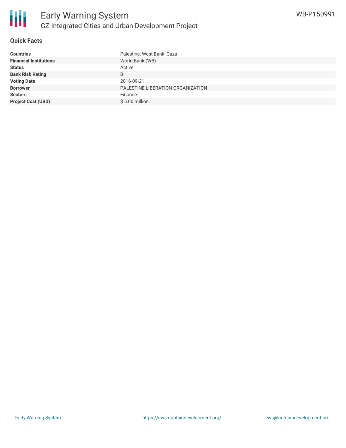

#### **Quick Facts**

| <b>Countries</b>              | Palestine, West Bank, Gaza        |
|-------------------------------|-----------------------------------|
| <b>Financial Institutions</b> | World Bank (WB)                   |
| <b>Status</b>                 | Active                            |
| <b>Bank Risk Rating</b>       | B                                 |
| <b>Voting Date</b>            | 2016-09-21                        |
| <b>Borrower</b>               | PALESTINE LIBERATION ORGANIZATION |
| <b>Sectors</b>                | Finance                           |
| <b>Project Cost (USD)</b>     | $$5.00$ million                   |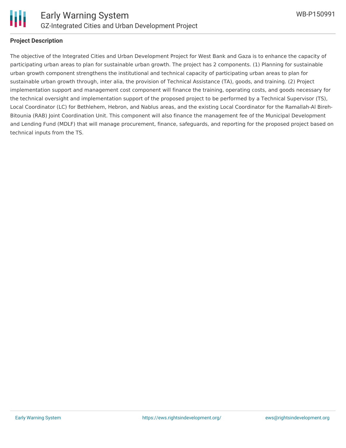

#### **Project Description**

The objective of the Integrated Cities and Urban Development Project for West Bank and Gaza is to enhance the capacity of participating urban areas to plan for sustainable urban growth. The project has 2 components. (1) Planning for sustainable urban growth component strengthens the institutional and technical capacity of participating urban areas to plan for sustainable urban growth through, inter alia, the provision of Technical Assistance (TA), goods, and training. (2) Project implementation support and management cost component will finance the training, operating costs, and goods necessary for the technical oversight and implementation support of the proposed project to be performed by a Technical Supervisor (TS), Local Coordinator (LC) for Bethlehem, Hebron, and Nablus areas, and the existing Local Coordinator for the Ramallah-Al Bireh-Bitounia (RAB) Joint Coordination Unit. This component will also finance the management fee of the Municipal Development and Lending Fund (MDLF) that will manage procurement, finance, safeguards, and reporting for the proposed project based on technical inputs from the TS.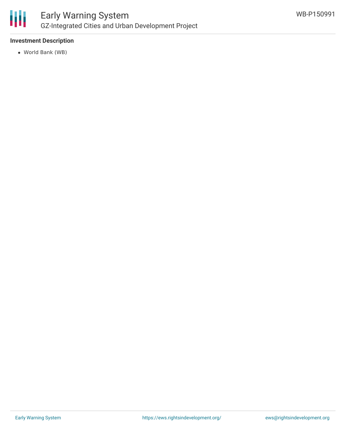

### Early Warning System GZ-Integrated Cities and Urban Development Project

#### **Investment Description**

World Bank (WB)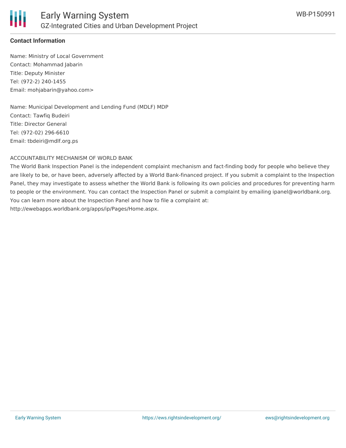

#### **Contact Information**

Name: Ministry of Local Government Contact: Mohammad Jabarin Title: Deputy Minister Tel: (972-2) 240-1455 Email: mohjabarin@yahoo.com>

Name: Municipal Development and Lending Fund (MDLF) MDP Contact: Tawfiq Budeiri Title: Director General Tel: (972-02) 296-6610 Email: tbdeiri@mdlf.org.ps

#### ACCOUNTABILITY MECHANISM OF WORLD BANK

The World Bank Inspection Panel is the independent complaint mechanism and fact-finding body for people who believe they are likely to be, or have been, adversely affected by a World Bank-financed project. If you submit a complaint to the Inspection Panel, they may investigate to assess whether the World Bank is following its own policies and procedures for preventing harm to people or the environment. You can contact the Inspection Panel or submit a complaint by emailing ipanel@worldbank.org. You can learn more about the Inspection Panel and how to file a complaint at: http://ewebapps.worldbank.org/apps/ip/Pages/Home.aspx.